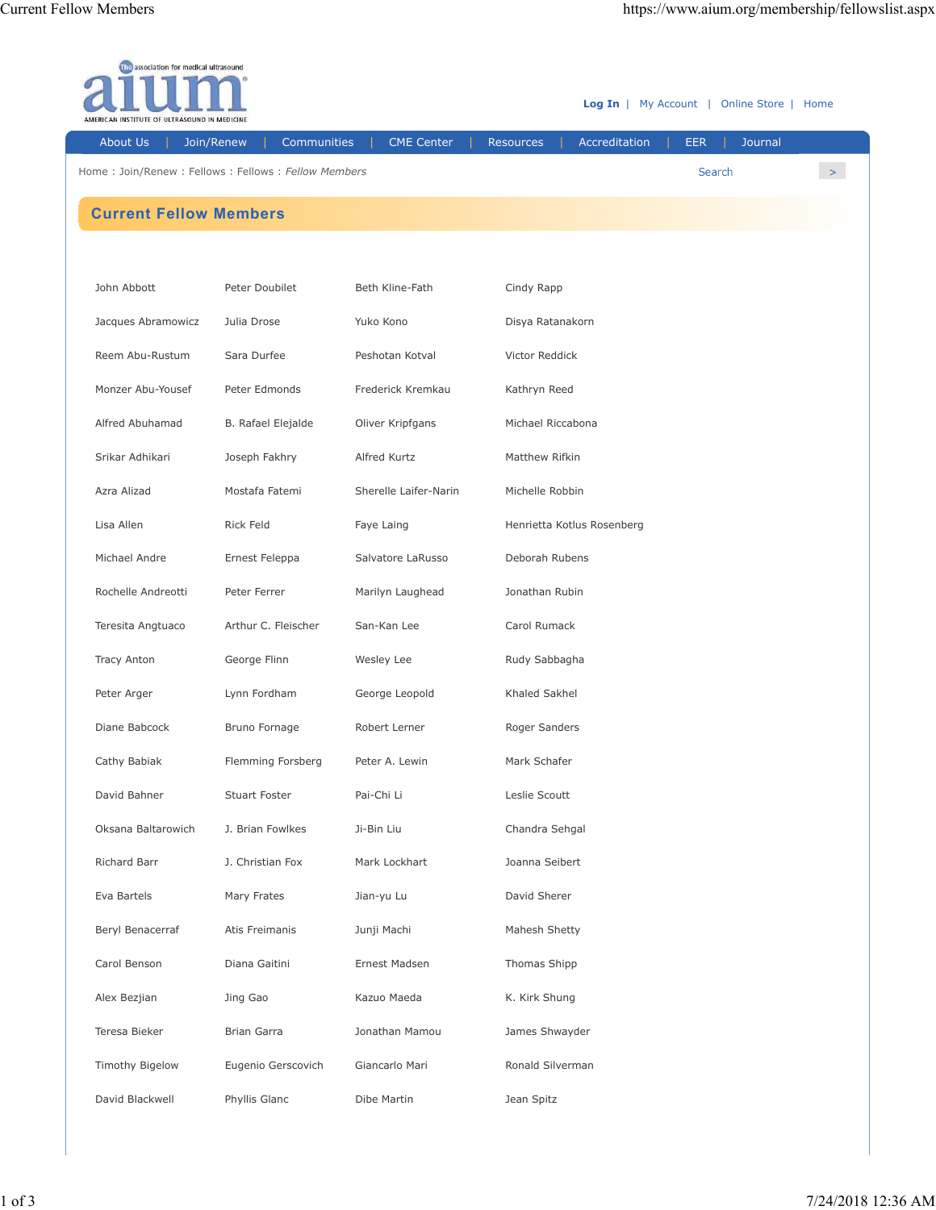| <b>The association for medical ultrasound</b><br><b>Log In</b>   My Account   Online Store   Home<br>INSTITUTE OF ULTRASOUND IN MEDICINE |                           |                       |                                   |                       |       |  |  |
|------------------------------------------------------------------------------------------------------------------------------------------|---------------------------|-----------------------|-----------------------------------|-----------------------|-------|--|--|
| About Us                                                                                                                                 | Communities<br>Join/Renew | <b>CME Center</b>     | Accreditation<br><b>Resources</b> | <b>EER</b><br>Journal |       |  |  |
| Home: Join/Renew: Fellows: Fellows: Fellow Members                                                                                       |                           |                       |                                   | Search                | $\,>$ |  |  |
| <b>Current Fellow Members</b>                                                                                                            |                           |                       |                                   |                       |       |  |  |
|                                                                                                                                          |                           |                       |                                   |                       |       |  |  |
| John Abbott                                                                                                                              | Peter Doubilet            | Beth Kline-Fath       | Cindy Rapp                        |                       |       |  |  |
| Jacques Abramowicz                                                                                                                       | Julia Drose               | Yuko Kono             | Disya Ratanakorn                  |                       |       |  |  |
| Reem Abu-Rustum                                                                                                                          | Sara Durfee               | Peshotan Kotval       | Victor Reddick                    |                       |       |  |  |
| Monzer Abu-Yousef                                                                                                                        | Peter Edmonds             | Frederick Kremkau     | Kathryn Reed                      |                       |       |  |  |
| Alfred Abuhamad                                                                                                                          | B. Rafael Elejalde        | Oliver Kripfgans      | Michael Riccabona                 |                       |       |  |  |
| Srikar Adhikari                                                                                                                          | Joseph Fakhry             | Alfred Kurtz          | Matthew Rifkin                    |                       |       |  |  |
| Azra Alizad                                                                                                                              | Mostafa Fatemi            | Sherelle Laifer-Narin | Michelle Robbin                   |                       |       |  |  |
| Lisa Allen                                                                                                                               | Rick Feld                 | Faye Laing            | Henrietta Kotlus Rosenberg        |                       |       |  |  |
| Michael Andre                                                                                                                            | Ernest Feleppa            | Salvatore LaRusso     | Deborah Rubens                    |                       |       |  |  |
| Rochelle Andreotti                                                                                                                       | Peter Ferrer              | Marilyn Laughead      | Jonathan Rubin                    |                       |       |  |  |
| Teresita Angtuaco                                                                                                                        | Arthur C. Fleischer       | San-Kan Lee           | Carol Rumack                      |                       |       |  |  |
| <b>Tracy Anton</b>                                                                                                                       | George Flinn              | Wesley Lee            | Rudy Sabbagha                     |                       |       |  |  |
| Peter Arger                                                                                                                              | Lynn Fordham              | George Leopold        | Khaled Sakhel                     |                       |       |  |  |
| Diane Babcock                                                                                                                            | Bruno Fornage             | Robert Lerner         | Roger Sanders                     |                       |       |  |  |
| Cathy Babiak                                                                                                                             | Flemming Forsberg         | Peter A. Lewin        | Mark Schafer                      |                       |       |  |  |
| David Bahner                                                                                                                             | <b>Stuart Foster</b>      | Pai-Chi Li            | Leslie Scoutt                     |                       |       |  |  |
| Oksana Baltarowich                                                                                                                       | J. Brian Fowlkes          | Ji-Bin Liu            | Chandra Sehgal                    |                       |       |  |  |
| Richard Barr                                                                                                                             | J. Christian Fox          | Mark Lockhart         | Joanna Seibert                    |                       |       |  |  |
| Eva Bartels                                                                                                                              | Mary Frates               | Jian-yu Lu            | David Sherer                      |                       |       |  |  |
| Beryl Benacerraf                                                                                                                         | Atis Freimanis            | Junji Machi           | Mahesh Shetty                     |                       |       |  |  |
| Carol Benson                                                                                                                             | Diana Gaitini             | Ernest Madsen         | Thomas Shipp                      |                       |       |  |  |
| Alex Bezjian                                                                                                                             | Jing Gao                  | Kazuo Maeda           | K. Kirk Shung                     |                       |       |  |  |
| Teresa Bieker                                                                                                                            | Brian Garra               | Jonathan Mamou        | James Shwayder                    |                       |       |  |  |
| Timothy Bigelow                                                                                                                          | Eugenio Gerscovich        | Giancarlo Mari        | Ronald Silverman                  |                       |       |  |  |
| David Blackwell                                                                                                                          | Phyllis Glanc             | Dibe Martin           | Jean Spitz                        |                       |       |  |  |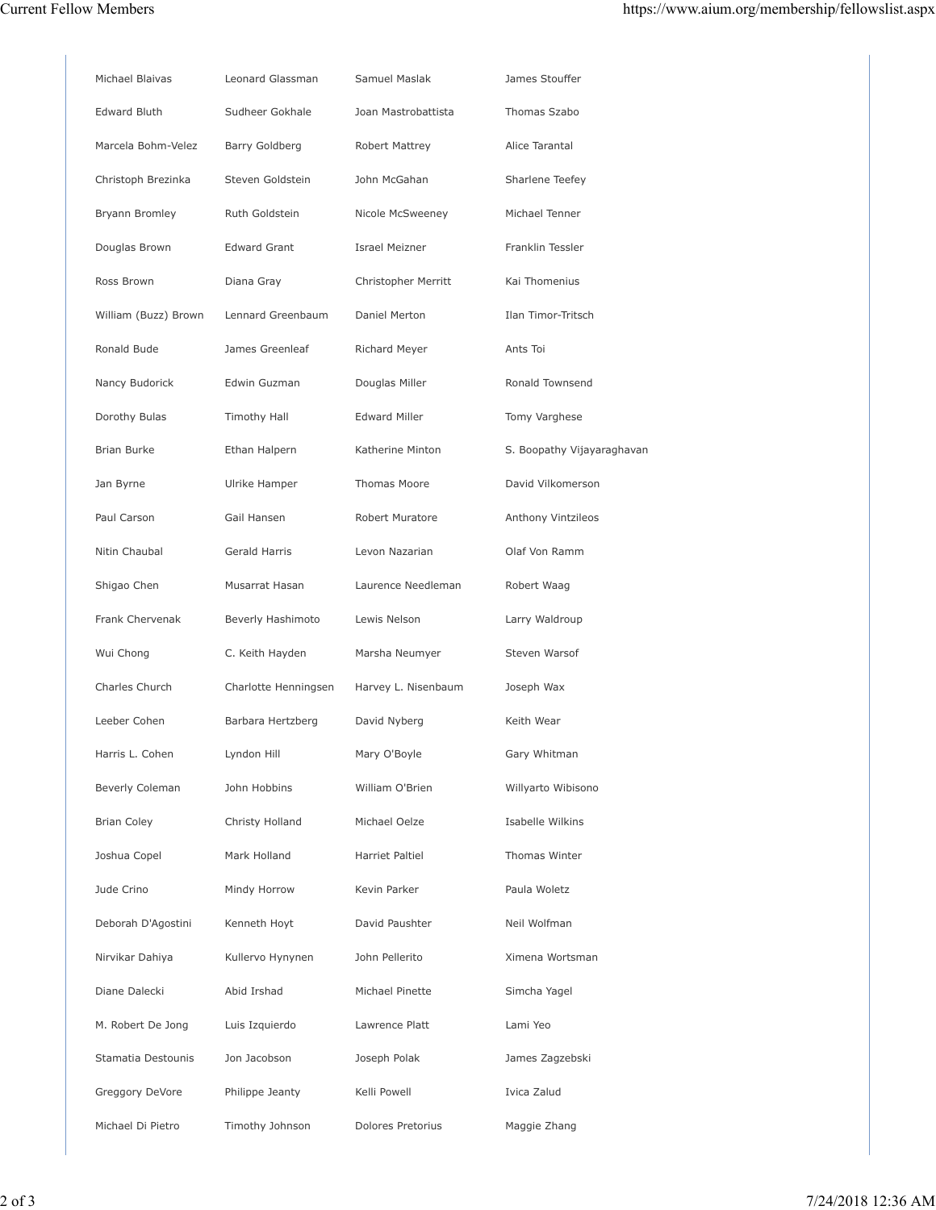| <b>Edward Bluth</b><br>Sudheer Gokhale<br>Joan Mastrobattista<br>Thomas Szabo<br>Alice Tarantal<br>Marcela Bohm-Velez<br>Barry Goldberg<br>Robert Mattrey<br>Christoph Brezinka<br>Steven Goldstein<br>John McGahan<br>Sharlene Teefey<br>Bryann Bromley<br>Ruth Goldstein<br>Nicole McSweeney<br>Michael Tenner<br>Douglas Brown<br><b>Edward Grant</b><br><b>Israel Meizner</b><br>Franklin Tessler<br>Ross Brown<br>Diana Gray<br>Christopher Merritt<br>Kai Thomenius<br>William (Buzz) Brown<br>Lennard Greenbaum<br>Daniel Merton<br>Ilan Timor-Tritsch<br>Ronald Bude<br>James Greenleaf<br>Ants Toi<br>Richard Meyer<br>Nancy Budorick<br>Edwin Guzman<br>Douglas Miller<br>Ronald Townsend<br>Dorothy Bulas<br><b>Timothy Hall</b><br><b>Edward Miller</b><br>Tomy Varghese<br><b>Brian Burke</b><br>Ethan Halpern<br>Katherine Minton<br>S. Boopathy Vijayaraghavan<br>Ulrike Hamper<br>Thomas Moore<br>David Vilkomerson<br>Jan Byrne<br>Paul Carson<br>Gail Hansen<br>Robert Muratore<br>Anthony Vintzileos<br>Nitin Chaubal<br>Gerald Harris<br>Levon Nazarian<br>Olaf Von Ramm<br>Musarrat Hasan<br>Laurence Needleman<br>Shigao Chen<br>Robert Waag<br>Frank Chervenak<br>Beverly Hashimoto<br>Lewis Nelson<br>Larry Waldroup<br>Wui Chong<br>C. Keith Hayden<br>Marsha Neumyer<br>Steven Warsof<br>Charles Church<br>Harvey L. Nisenbaum<br>Joseph Wax<br>Charlotte Henningsen<br>Leeber Cohen<br>David Nyberg<br>Keith Wear<br>Barbara Hertzberg<br>Harris L. Cohen<br>Lyndon Hill<br>Mary O'Boyle<br>Gary Whitman<br>Beverly Coleman<br>John Hobbins<br>William O'Brien<br>Willyarto Wibisono<br><b>Brian Coley</b><br>Christy Holland<br>Michael Oelze<br>Isabelle Wilkins<br>Joshua Copel<br>Mark Holland<br>Harriet Paltiel<br>Thomas Winter<br>Paula Woletz<br>Jude Crino<br>Mindy Horrow<br>Kevin Parker<br>David Paushter<br>Deborah D'Agostini<br>Kenneth Hoyt<br>Neil Wolfman<br>Nirvikar Dahiya<br>Kullervo Hynynen<br>John Pellerito<br>Ximena Wortsman<br>Diane Dalecki<br>Abid Irshad<br>Michael Pinette<br>Simcha Yagel<br>Lami Yeo<br>M. Robert De Jong<br>Luis Izquierdo<br>Lawrence Platt<br>Stamatia Destounis<br>Jon Jacobson<br>Joseph Polak<br>James Zagzebski<br>Ivica Zalud<br>Greggory DeVore<br>Philippe Jeanty<br>Kelli Powell<br>Timothy Johnson<br>Dolores Pretorius<br>Michael Di Pietro<br>Maggie Zhang | Michael Blaivas | Leonard Glassman | Samuel Maslak | James Stouffer |
|--------------------------------------------------------------------------------------------------------------------------------------------------------------------------------------------------------------------------------------------------------------------------------------------------------------------------------------------------------------------------------------------------------------------------------------------------------------------------------------------------------------------------------------------------------------------------------------------------------------------------------------------------------------------------------------------------------------------------------------------------------------------------------------------------------------------------------------------------------------------------------------------------------------------------------------------------------------------------------------------------------------------------------------------------------------------------------------------------------------------------------------------------------------------------------------------------------------------------------------------------------------------------------------------------------------------------------------------------------------------------------------------------------------------------------------------------------------------------------------------------------------------------------------------------------------------------------------------------------------------------------------------------------------------------------------------------------------------------------------------------------------------------------------------------------------------------------------------------------------------------------------------------------------------------------------------------------------------------------------------------------------------------------------------------------------------------------------------------------------------------------------------------------------------------------------------------------------------------------------------------------------------------------------------------------------------------------------------------------|-----------------|------------------|---------------|----------------|
|                                                                                                                                                                                                                                                                                                                                                                                                                                                                                                                                                                                                                                                                                                                                                                                                                                                                                                                                                                                                                                                                                                                                                                                                                                                                                                                                                                                                                                                                                                                                                                                                                                                                                                                                                                                                                                                                                                                                                                                                                                                                                                                                                                                                                                                                                                                                                        |                 |                  |               |                |
|                                                                                                                                                                                                                                                                                                                                                                                                                                                                                                                                                                                                                                                                                                                                                                                                                                                                                                                                                                                                                                                                                                                                                                                                                                                                                                                                                                                                                                                                                                                                                                                                                                                                                                                                                                                                                                                                                                                                                                                                                                                                                                                                                                                                                                                                                                                                                        |                 |                  |               |                |
|                                                                                                                                                                                                                                                                                                                                                                                                                                                                                                                                                                                                                                                                                                                                                                                                                                                                                                                                                                                                                                                                                                                                                                                                                                                                                                                                                                                                                                                                                                                                                                                                                                                                                                                                                                                                                                                                                                                                                                                                                                                                                                                                                                                                                                                                                                                                                        |                 |                  |               |                |
|                                                                                                                                                                                                                                                                                                                                                                                                                                                                                                                                                                                                                                                                                                                                                                                                                                                                                                                                                                                                                                                                                                                                                                                                                                                                                                                                                                                                                                                                                                                                                                                                                                                                                                                                                                                                                                                                                                                                                                                                                                                                                                                                                                                                                                                                                                                                                        |                 |                  |               |                |
|                                                                                                                                                                                                                                                                                                                                                                                                                                                                                                                                                                                                                                                                                                                                                                                                                                                                                                                                                                                                                                                                                                                                                                                                                                                                                                                                                                                                                                                                                                                                                                                                                                                                                                                                                                                                                                                                                                                                                                                                                                                                                                                                                                                                                                                                                                                                                        |                 |                  |               |                |
|                                                                                                                                                                                                                                                                                                                                                                                                                                                                                                                                                                                                                                                                                                                                                                                                                                                                                                                                                                                                                                                                                                                                                                                                                                                                                                                                                                                                                                                                                                                                                                                                                                                                                                                                                                                                                                                                                                                                                                                                                                                                                                                                                                                                                                                                                                                                                        |                 |                  |               |                |
|                                                                                                                                                                                                                                                                                                                                                                                                                                                                                                                                                                                                                                                                                                                                                                                                                                                                                                                                                                                                                                                                                                                                                                                                                                                                                                                                                                                                                                                                                                                                                                                                                                                                                                                                                                                                                                                                                                                                                                                                                                                                                                                                                                                                                                                                                                                                                        |                 |                  |               |                |
|                                                                                                                                                                                                                                                                                                                                                                                                                                                                                                                                                                                                                                                                                                                                                                                                                                                                                                                                                                                                                                                                                                                                                                                                                                                                                                                                                                                                                                                                                                                                                                                                                                                                                                                                                                                                                                                                                                                                                                                                                                                                                                                                                                                                                                                                                                                                                        |                 |                  |               |                |
|                                                                                                                                                                                                                                                                                                                                                                                                                                                                                                                                                                                                                                                                                                                                                                                                                                                                                                                                                                                                                                                                                                                                                                                                                                                                                                                                                                                                                                                                                                                                                                                                                                                                                                                                                                                                                                                                                                                                                                                                                                                                                                                                                                                                                                                                                                                                                        |                 |                  |               |                |
|                                                                                                                                                                                                                                                                                                                                                                                                                                                                                                                                                                                                                                                                                                                                                                                                                                                                                                                                                                                                                                                                                                                                                                                                                                                                                                                                                                                                                                                                                                                                                                                                                                                                                                                                                                                                                                                                                                                                                                                                                                                                                                                                                                                                                                                                                                                                                        |                 |                  |               |                |
|                                                                                                                                                                                                                                                                                                                                                                                                                                                                                                                                                                                                                                                                                                                                                                                                                                                                                                                                                                                                                                                                                                                                                                                                                                                                                                                                                                                                                                                                                                                                                                                                                                                                                                                                                                                                                                                                                                                                                                                                                                                                                                                                                                                                                                                                                                                                                        |                 |                  |               |                |
|                                                                                                                                                                                                                                                                                                                                                                                                                                                                                                                                                                                                                                                                                                                                                                                                                                                                                                                                                                                                                                                                                                                                                                                                                                                                                                                                                                                                                                                                                                                                                                                                                                                                                                                                                                                                                                                                                                                                                                                                                                                                                                                                                                                                                                                                                                                                                        |                 |                  |               |                |
|                                                                                                                                                                                                                                                                                                                                                                                                                                                                                                                                                                                                                                                                                                                                                                                                                                                                                                                                                                                                                                                                                                                                                                                                                                                                                                                                                                                                                                                                                                                                                                                                                                                                                                                                                                                                                                                                                                                                                                                                                                                                                                                                                                                                                                                                                                                                                        |                 |                  |               |                |
|                                                                                                                                                                                                                                                                                                                                                                                                                                                                                                                                                                                                                                                                                                                                                                                                                                                                                                                                                                                                                                                                                                                                                                                                                                                                                                                                                                                                                                                                                                                                                                                                                                                                                                                                                                                                                                                                                                                                                                                                                                                                                                                                                                                                                                                                                                                                                        |                 |                  |               |                |
|                                                                                                                                                                                                                                                                                                                                                                                                                                                                                                                                                                                                                                                                                                                                                                                                                                                                                                                                                                                                                                                                                                                                                                                                                                                                                                                                                                                                                                                                                                                                                                                                                                                                                                                                                                                                                                                                                                                                                                                                                                                                                                                                                                                                                                                                                                                                                        |                 |                  |               |                |
|                                                                                                                                                                                                                                                                                                                                                                                                                                                                                                                                                                                                                                                                                                                                                                                                                                                                                                                                                                                                                                                                                                                                                                                                                                                                                                                                                                                                                                                                                                                                                                                                                                                                                                                                                                                                                                                                                                                                                                                                                                                                                                                                                                                                                                                                                                                                                        |                 |                  |               |                |
|                                                                                                                                                                                                                                                                                                                                                                                                                                                                                                                                                                                                                                                                                                                                                                                                                                                                                                                                                                                                                                                                                                                                                                                                                                                                                                                                                                                                                                                                                                                                                                                                                                                                                                                                                                                                                                                                                                                                                                                                                                                                                                                                                                                                                                                                                                                                                        |                 |                  |               |                |
|                                                                                                                                                                                                                                                                                                                                                                                                                                                                                                                                                                                                                                                                                                                                                                                                                                                                                                                                                                                                                                                                                                                                                                                                                                                                                                                                                                                                                                                                                                                                                                                                                                                                                                                                                                                                                                                                                                                                                                                                                                                                                                                                                                                                                                                                                                                                                        |                 |                  |               |                |
|                                                                                                                                                                                                                                                                                                                                                                                                                                                                                                                                                                                                                                                                                                                                                                                                                                                                                                                                                                                                                                                                                                                                                                                                                                                                                                                                                                                                                                                                                                                                                                                                                                                                                                                                                                                                                                                                                                                                                                                                                                                                                                                                                                                                                                                                                                                                                        |                 |                  |               |                |
|                                                                                                                                                                                                                                                                                                                                                                                                                                                                                                                                                                                                                                                                                                                                                                                                                                                                                                                                                                                                                                                                                                                                                                                                                                                                                                                                                                                                                                                                                                                                                                                                                                                                                                                                                                                                                                                                                                                                                                                                                                                                                                                                                                                                                                                                                                                                                        |                 |                  |               |                |
|                                                                                                                                                                                                                                                                                                                                                                                                                                                                                                                                                                                                                                                                                                                                                                                                                                                                                                                                                                                                                                                                                                                                                                                                                                                                                                                                                                                                                                                                                                                                                                                                                                                                                                                                                                                                                                                                                                                                                                                                                                                                                                                                                                                                                                                                                                                                                        |                 |                  |               |                |
|                                                                                                                                                                                                                                                                                                                                                                                                                                                                                                                                                                                                                                                                                                                                                                                                                                                                                                                                                                                                                                                                                                                                                                                                                                                                                                                                                                                                                                                                                                                                                                                                                                                                                                                                                                                                                                                                                                                                                                                                                                                                                                                                                                                                                                                                                                                                                        |                 |                  |               |                |
|                                                                                                                                                                                                                                                                                                                                                                                                                                                                                                                                                                                                                                                                                                                                                                                                                                                                                                                                                                                                                                                                                                                                                                                                                                                                                                                                                                                                                                                                                                                                                                                                                                                                                                                                                                                                                                                                                                                                                                                                                                                                                                                                                                                                                                                                                                                                                        |                 |                  |               |                |
|                                                                                                                                                                                                                                                                                                                                                                                                                                                                                                                                                                                                                                                                                                                                                                                                                                                                                                                                                                                                                                                                                                                                                                                                                                                                                                                                                                                                                                                                                                                                                                                                                                                                                                                                                                                                                                                                                                                                                                                                                                                                                                                                                                                                                                                                                                                                                        |                 |                  |               |                |
|                                                                                                                                                                                                                                                                                                                                                                                                                                                                                                                                                                                                                                                                                                                                                                                                                                                                                                                                                                                                                                                                                                                                                                                                                                                                                                                                                                                                                                                                                                                                                                                                                                                                                                                                                                                                                                                                                                                                                                                                                                                                                                                                                                                                                                                                                                                                                        |                 |                  |               |                |
|                                                                                                                                                                                                                                                                                                                                                                                                                                                                                                                                                                                                                                                                                                                                                                                                                                                                                                                                                                                                                                                                                                                                                                                                                                                                                                                                                                                                                                                                                                                                                                                                                                                                                                                                                                                                                                                                                                                                                                                                                                                                                                                                                                                                                                                                                                                                                        |                 |                  |               |                |
|                                                                                                                                                                                                                                                                                                                                                                                                                                                                                                                                                                                                                                                                                                                                                                                                                                                                                                                                                                                                                                                                                                                                                                                                                                                                                                                                                                                                                                                                                                                                                                                                                                                                                                                                                                                                                                                                                                                                                                                                                                                                                                                                                                                                                                                                                                                                                        |                 |                  |               |                |
|                                                                                                                                                                                                                                                                                                                                                                                                                                                                                                                                                                                                                                                                                                                                                                                                                                                                                                                                                                                                                                                                                                                                                                                                                                                                                                                                                                                                                                                                                                                                                                                                                                                                                                                                                                                                                                                                                                                                                                                                                                                                                                                                                                                                                                                                                                                                                        |                 |                  |               |                |
|                                                                                                                                                                                                                                                                                                                                                                                                                                                                                                                                                                                                                                                                                                                                                                                                                                                                                                                                                                                                                                                                                                                                                                                                                                                                                                                                                                                                                                                                                                                                                                                                                                                                                                                                                                                                                                                                                                                                                                                                                                                                                                                                                                                                                                                                                                                                                        |                 |                  |               |                |
|                                                                                                                                                                                                                                                                                                                                                                                                                                                                                                                                                                                                                                                                                                                                                                                                                                                                                                                                                                                                                                                                                                                                                                                                                                                                                                                                                                                                                                                                                                                                                                                                                                                                                                                                                                                                                                                                                                                                                                                                                                                                                                                                                                                                                                                                                                                                                        |                 |                  |               |                |
|                                                                                                                                                                                                                                                                                                                                                                                                                                                                                                                                                                                                                                                                                                                                                                                                                                                                                                                                                                                                                                                                                                                                                                                                                                                                                                                                                                                                                                                                                                                                                                                                                                                                                                                                                                                                                                                                                                                                                                                                                                                                                                                                                                                                                                                                                                                                                        |                 |                  |               |                |